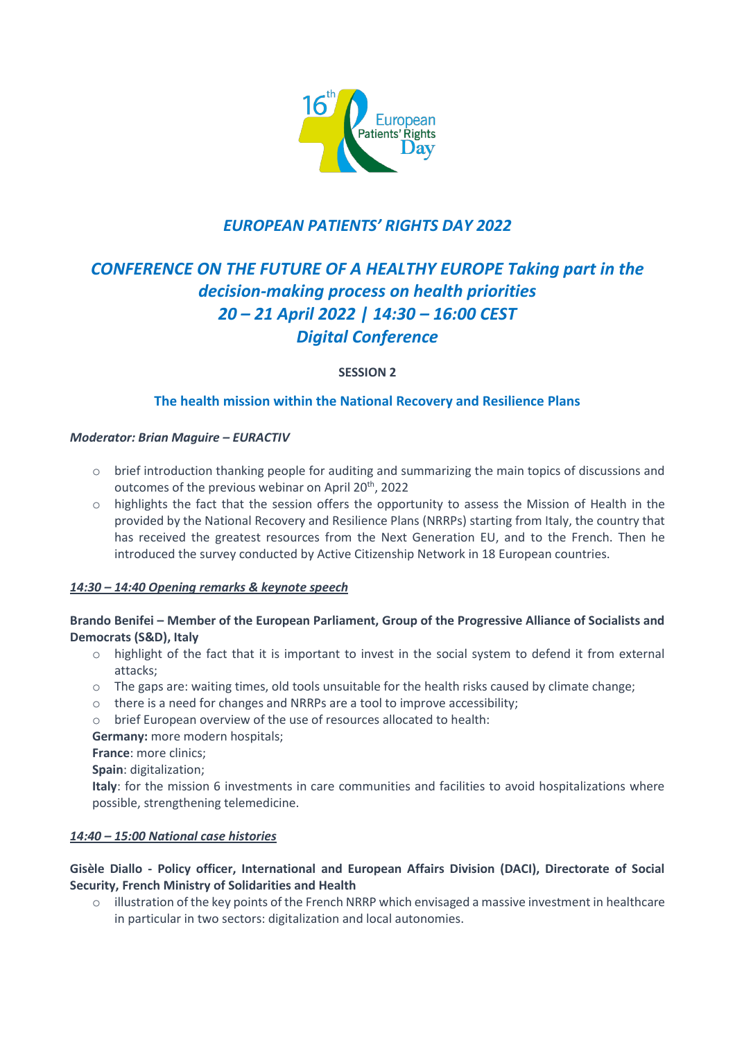

## *EUROPEAN PATIENTS' RIGHTS DAY 2022*

# *CONFERENCE ON THE FUTURE OF A HEALTHY EUROPE Taking part in the decision-making process on health priorities 20 – 21 April 2022 | 14:30 – 16:00 CEST Digital Conference*

**SESSION 2**

## **The health mission within the National Recovery and Resilience Plans**

#### *Moderator: Brian Maguire – EURACTIV*

- o brief introduction thanking people for auditing and summarizing the main topics of discussions and outcomes of the previous webinar on April 20<sup>th</sup>, 2022
- o highlights the fact that the session offers the opportunity to assess the Mission of Health in the provided by the National Recovery and Resilience Plans (NRRPs) starting from Italy, the country that has received the greatest resources from the Next Generation EU, and to the French. Then he introduced the survey conducted by Active Citizenship Network in 18 European countries.

## *14:30 – 14:40 Opening remarks & keynote speech*

## **Brando Benifei – Member of the European Parliament, Group of the Progressive Alliance of Socialists and Democrats (S&D), Italy**

- o highlight of the fact that it is important to invest in the social system to defend it from external attacks;
- o The gaps are: waiting times, old tools unsuitable for the health risks caused by climate change;
- o there is a need for changes and NRRPs are a tool to improve accessibility;
- o brief European overview of the use of resources allocated to health:

**Germany:** more modern hospitals;

**France**: more clinics;

**Spain**: digitalization;

**Italy**: for the mission 6 investments in care communities and facilities to avoid hospitalizations where possible, strengthening telemedicine.

## *14:40 – 15:00 National case histories*

## **Gisèle Diallo - Policy officer, International and European Affairs Division (DACI), Directorate of Social Security, French Ministry of Solidarities and Health**

o illustration of the key points of the French NRRP which envisaged a massive investment in healthcare in particular in two sectors: digitalization and local autonomies.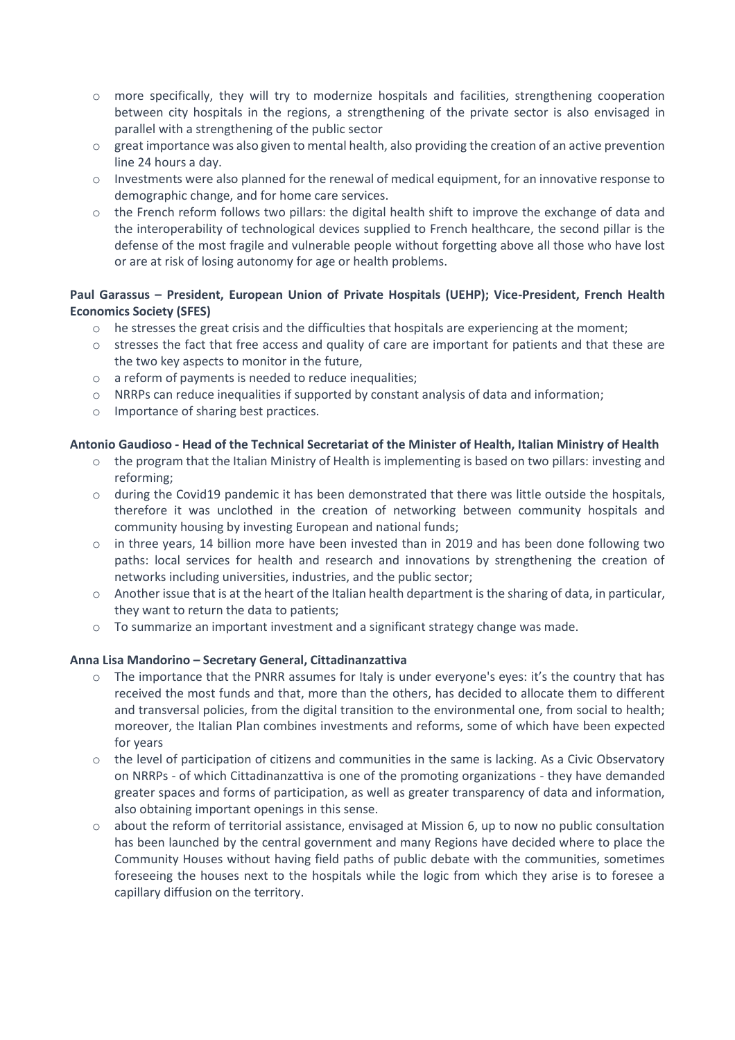- o more specifically, they will try to modernize hospitals and facilities, strengthening cooperation between city hospitals in the regions, a strengthening of the private sector is also envisaged in parallel with a strengthening of the public sector
- $\circ$  great importance was also given to mental health, also providing the creation of an active prevention line 24 hours a day.
- o Investments were also planned for the renewal of medical equipment, for an innovative response to demographic change, and for home care services.
- $\circ$  the French reform follows two pillars: the digital health shift to improve the exchange of data and the interoperability of technological devices supplied to French healthcare, the second pillar is the defense of the most fragile and vulnerable people without forgetting above all those who have lost or are at risk of losing autonomy for age or health problems.

## **Paul Garassus – President, European Union of Private Hospitals (UEHP); Vice-President, French Health Economics Society (SFES)**

- $\circ$  he stresses the great crisis and the difficulties that hospitals are experiencing at the moment;
- o stresses the fact that free access and quality of care are important for patients and that these are the two key aspects to monitor in the future,
- o a reform of payments is needed to reduce inequalities;
- $\circ$  NRRPs can reduce inequalities if supported by constant analysis of data and information;
- o Importance of sharing best practices.

#### **Antonio Gaudioso - Head of the Technical Secretariat of the Minister of Health, Italian Ministry of Health**

- $\circ$  the program that the Italian Ministry of Health is implementing is based on two pillars: investing and reforming;
- o during the Covid19 pandemic it has been demonstrated that there was little outside the hospitals, therefore it was unclothed in the creation of networking between community hospitals and community housing by investing European and national funds;
- $\circ$  in three years, 14 billion more have been invested than in 2019 and has been done following two paths: local services for health and research and innovations by strengthening the creation of networks including universities, industries, and the public sector;
- o Another issue that is at the heart of the Italian health department is the sharing of data, in particular, they want to return the data to patients;
- $\circ$  To summarize an important investment and a significant strategy change was made.

#### **Anna Lisa Mandorino – Secretary General, Cittadinanzattiva**

- o The importance that the PNRR assumes for Italy is under everyone's eyes: it's the country that has received the most funds and that, more than the others, has decided to allocate them to different and transversal policies, from the digital transition to the environmental one, from social to health; moreover, the Italian Plan combines investments and reforms, some of which have been expected for years
- o the level of participation of citizens and communities in the same is lacking. As a Civic Observatory on NRRPs - of which Cittadinanzattiva is one of the promoting organizations - they have demanded greater spaces and forms of participation, as well as greater transparency of data and information, also obtaining important openings in this sense.
- o about the reform of territorial assistance, envisaged at Mission 6, up to now no public consultation has been launched by the central government and many Regions have decided where to place the Community Houses without having field paths of public debate with the communities, sometimes foreseeing the houses next to the hospitals while the logic from which they arise is to foresee a capillary diffusion on the territory.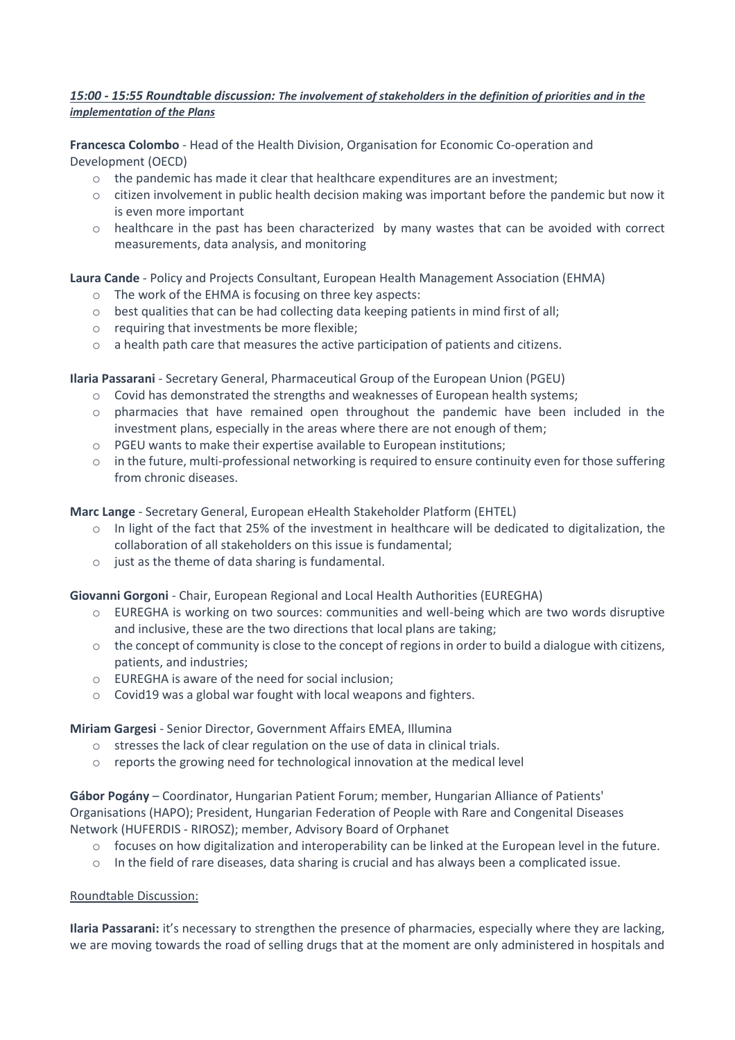#### *15:00 - 15:55 Roundtable discussion: The involvement of stakeholders in the definition of priorities and in the implementation of the Plans*

**Francesca Colombo** - Head of the Health Division, Organisation for Economic Co-operation and Development (OECD)

- $\circ$  the pandemic has made it clear that healthcare expenditures are an investment;
- o citizen involvement in public health decision making was important before the pandemic but now it is even more important
- o healthcare in the past has been characterized by many wastes that can be avoided with correct measurements, data analysis, and monitoring

**Laura Cande** - Policy and Projects Consultant, European Health Management Association (EHMA)

- o The work of the EHMA is focusing on three key aspects:
- $\circ$  best qualities that can be had collecting data keeping patients in mind first of all;
- o requiring that investments be more flexible;
- o a health path care that measures the active participation of patients and citizens.

**Ilaria Passarani** - Secretary General, Pharmaceutical Group of the European Union (PGEU)

- o Covid has demonstrated the strengths and weaknesses of European health systems;
- o pharmacies that have remained open throughout the pandemic have been included in the investment plans, especially in the areas where there are not enough of them;
- o PGEU wants to make their expertise available to European institutions;
- o in the future, multi-professional networking is required to ensure continuity even for those suffering from chronic diseases.

**Marc Lange** - Secretary General, European eHealth Stakeholder Platform (EHTEL)

- $\circ$  In light of the fact that 25% of the investment in healthcare will be dedicated to digitalization, the collaboration of all stakeholders on this issue is fundamental;
- $\circ$  just as the theme of data sharing is fundamental.

**Giovanni Gorgoni** - Chair, European Regional and Local Health Authorities (EUREGHA)

- o EUREGHA is working on two sources: communities and well-being which are two words disruptive and inclusive, these are the two directions that local plans are taking;
- $\circ$  the concept of community is close to the concept of regions in order to build a dialogue with citizens, patients, and industries;
- o EUREGHA is aware of the need for social inclusion;
- o Covid19 was a global war fought with local weapons and fighters.

**Miriam Gargesi** - Senior Director, Government Affairs EMEA, Illumina

- o stresses the lack of clear regulation on the use of data in clinical trials.
- o reports the growing need for technological innovation at the medical level

**Gábor Pogány** – Coordinator, Hungarian Patient Forum; member, Hungarian Alliance of Patients' Organisations (HAPO); President, Hungarian Federation of People with Rare and Congenital Diseases Network (HUFERDIS - RIROSZ); member, Advisory Board of Orphanet

- $\circ$  focuses on how digitalization and interoperability can be linked at the European level in the future.
- $\circ$  In the field of rare diseases, data sharing is crucial and has always been a complicated issue.

#### Roundtable Discussion:

**Ilaria Passarani:** it's necessary to strengthen the presence of pharmacies, especially where they are lacking, we are moving towards the road of selling drugs that at the moment are only administered in hospitals and